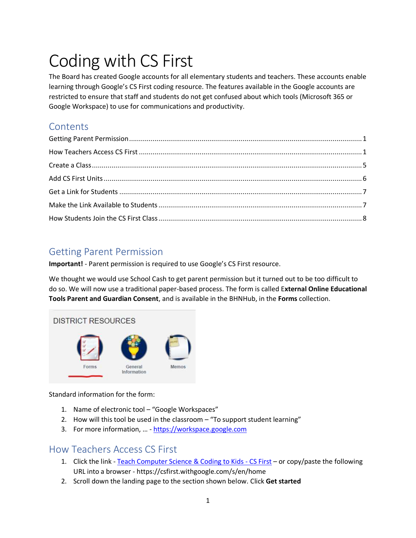# Coding with CS First

The Board has created Google accounts for all elementary students and teachers. These accounts enable learning through Google's CS First coding resource. The features available in the Google accounts are restricted to ensure that staff and students do not get confused about which tools (Microsoft 365 or Google Workspace) to use for communications and productivity.

## **Contents**

# Getting Parent Permission

**Important!** - Parent permission is required to use Google's CS First resource.

We thought we would use School Cash to get parent permission but it turned out to be too difficult to do so. We will now use a traditional paper-based process. The form is called E**xternal Online Educational Tools Parent and Guardian Consent**, and is available in the BHNHub, in the **Forms** collection.



Standard information for the form:

- 1. Name of electronic tool "Google Workspaces"
- 2. How will this tool be used in the classroom "To support student learning"
- 3. For more information, … [https://workspace.google.com](https://workspace.google.com/)

## How Teachers Access CS First

- 1. Click the link [Teach Computer Science & Coding to Kids -](https://csfirst.withgoogle.com/s/en/home) CS First or copy/paste the following URL into a browser - https://csfirst.withgoogle.com/s/en/home
- 2. Scroll down the landing page to the section shown below. Click **Get started**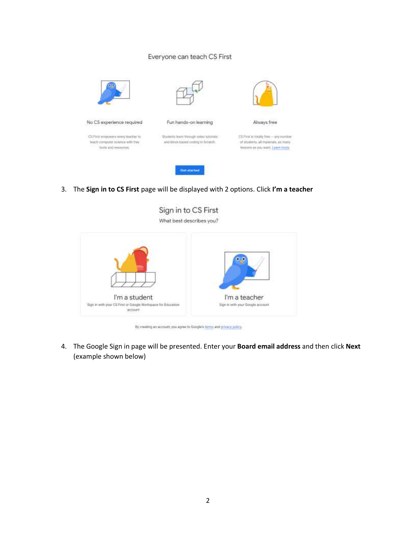#### Everyone can teach CS First



3. The **Sign in to CS First** page will be displayed with 2 options. Click **I'm a teacher**



By creating an account, you agree to Google's himme and privacy policy.

4. The Google Sign in page will be presented. Enter your **Board email address** and then click **Next**  (example shown below)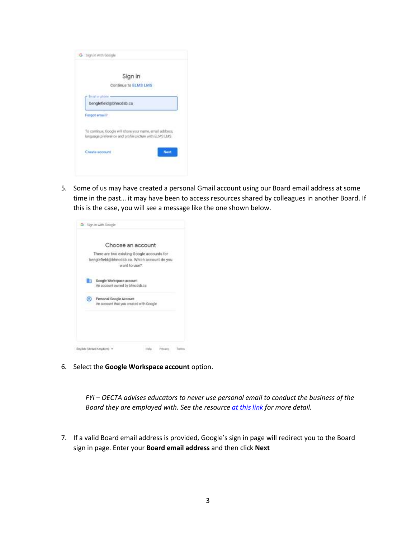|                | Sign in                                                                                                            |
|----------------|--------------------------------------------------------------------------------------------------------------------|
|                | Continue to ELMS LMS                                                                                               |
| Email or phone |                                                                                                                    |
|                | benglefield@bhncdsb.ca                                                                                             |
| Forgot email?  |                                                                                                                    |
|                | To continue, Google will share your name, email address,<br>language preference and profile picture with ELMS LMS. |
|                |                                                                                                                    |

5. Some of us may have created a personal Gmail account using our Board email address at some time in the past… it may have been to access resources shared by colleagues in another Board. If this is the case, you will see a message like the one shown below.

|    | Choose an account<br>ť.                                                                                    |
|----|------------------------------------------------------------------------------------------------------------|
|    | There are two existing Google accounts for<br>benglefield@bhncdsb.ca. Which account do you<br>want to use? |
| Ēπ | Doogle Workspace account.<br>An account owned by bhncdsb.ca.                                               |
| ల  | Personal Google Account<br>An account that you created with Google                                         |
|    |                                                                                                            |
|    |                                                                                                            |

6. Select the **Google Workspace account** option.

*FYI – OECTA advises educators to never use personal email to conduct the business of the Board they are employed with. See the resource [at this link](http://www.catholicteachers.ca/OECTA/media/pdfs/Communications/OECTA%20Publications/2019/ElectCommsBooklet-FINAL.pdf) for more detail.*

7. If a valid Board email address is provided, Google's sign in page will redirect you to the Board sign in page. Enter your **Board email address** and then click **Next**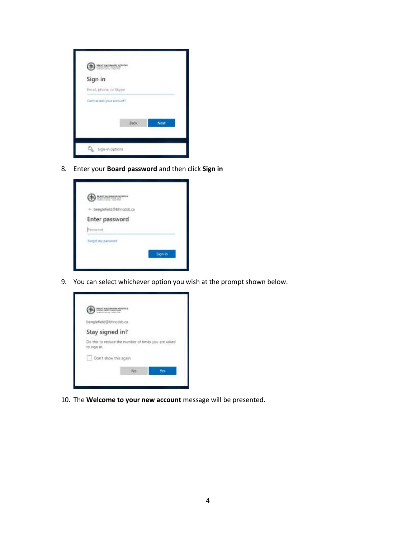

8. Enter your **Board password** and then click **Sign in**

| ← benglefield@bhncdsb.ca |  |
|--------------------------|--|
| Enter password           |  |
| Password:                |  |
| Forgot my perneord       |  |

9. You can select whichever option you wish at the prompt shown below.



10. The **Welcome to your new account** message will be presented.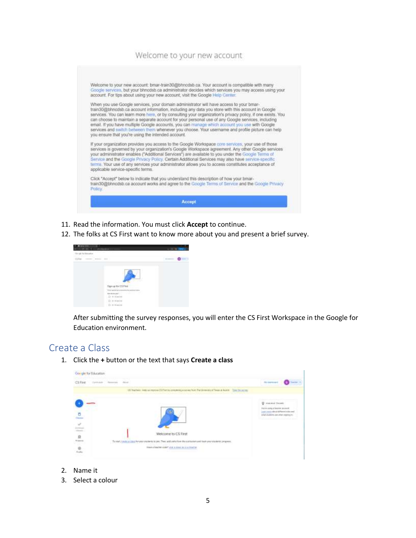#### Welcome to your new account



- 11. Read the information. You must click **Accept** to continue.
- 12. The folks at CS First want to know more about you and present a brief survey.



After submitting the survey responses, you will enter the CS First Workspace in the Google for Education environment.

#### Create a Class

1. Click the **+** button or the text that says **Create a class**



- 2. Name it
- 3. Select a colour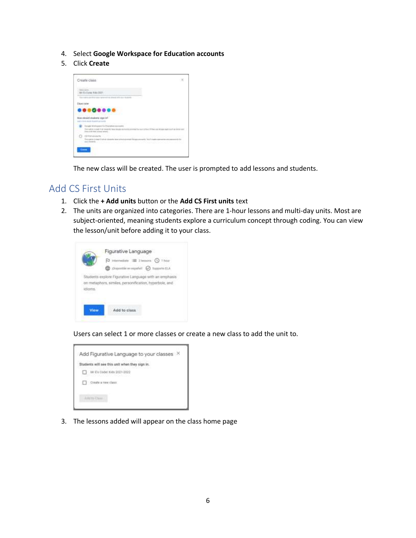- 4. Select **Google Workspace for Education accounts**
- 5. Click **Create**



The new class will be created. The user is prompted to add lessons and students.

### Add CS First Units

- 1. Click the **+ Add units** button or the **Add CS First units** text
- 2. The units are organized into categories. There are 1-hour lessons and multi-day units. Most are subject-oriented, meaning students explore a curriculum concept through coding. You can view the lesson/unit before adding it to your class.



Users can select 1 or more classes or create a new class to add the unit to.



3. The lessons added will appear on the class home page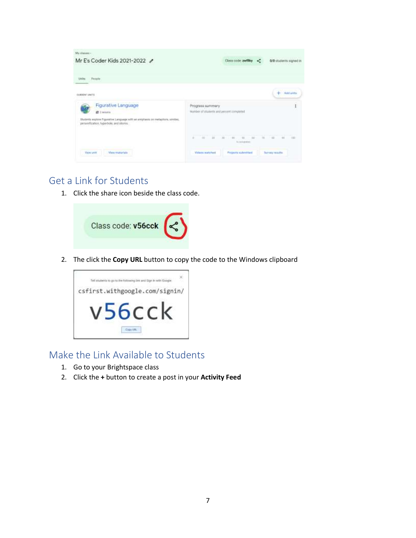| Manifessus: -<br>Mr E's Coder Kids 2021-2022 /                                                                                                                         | Class code: 2NfB<br>WB students signed in                                                                  |
|------------------------------------------------------------------------------------------------------------------------------------------------------------------------|------------------------------------------------------------------------------------------------------------|
| People<br><b>JAY REE</b>                                                                                                                                               |                                                                                                            |
| CORRENT UNITS<br><b>COLLAGE STATES</b>                                                                                                                                 | Ackel (pinkla)                                                                                             |
| <b>Figurative Language</b><br>此 1 intadios<br>Students explore Pigurative Language with an emphasis on metashons, similars,<br>person/Scotion, hyperbole, and idlores. | Progress summary<br>Ì<br>Number of statents and process completed                                          |
|                                                                                                                                                                        | n e<br>$10 - 10$<br>÷.<br>m<br>型(口相) 图<br>197<br>×<br>$\mathbb{R}^n$<br>$-100$<br>$-$<br><b>Lipitation</b> |
| View maturials<br>Viano used                                                                                                                                           | <b>Videos watched</b><br>Projects submitted<br><b>Survey roadts</b>                                        |

## Get a Link for Students

1. Click the share icon beside the class code.



2. The click the **Copy URL** button to copy the code to the Windows clipboard



## Make the Link Available to Students

- 1. Go to your Brightspace class
- 2. Click the **+** button to create a post in your **Activity Feed**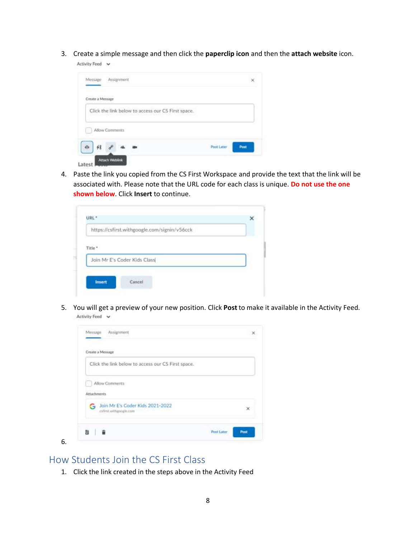3. Create a simple message and then click the **paperclip icon** and then the **attach website** icon.

Activity Feed v

| Assignment<br>Message                              |                    |
|----------------------------------------------------|--------------------|
| ZAGO LINKSZERINGO<br>Create a Message              |                    |
| Click the link below to access our CS First space. |                    |
|                                                    |                    |
| Allow Comments                                     |                    |
|                                                    | Post Later<br>Post |
|                                                    |                    |

4. Paste the link you copied from the CS First Workspace and provide the text that the link will be associated with. Please note that the URL code for each class is unique. **Do not use the one shown below**. Click **Insert** to continue.

|                    | https://csfirst.withgoogle.com/signin/v56cck |  |
|--------------------|----------------------------------------------|--|
|                    |                                              |  |
|                    |                                              |  |
| Title <sup>*</sup> |                                              |  |
|                    |                                              |  |
|                    | Join Mr E's Coder Kids Class                 |  |
|                    |                                              |  |

5. You will get a preview of your new position. Click **Post** to make it available in the Activity Feed. Activity Feed v

|             | Create a Message                                          |           |
|-------------|-----------------------------------------------------------|-----------|
|             | Click the link below to access our CS First space.        |           |
|             | Allow Comments                                            |           |
| Attachments |                                                           |           |
|             | Join Mr E's Coder Kids 2021-2022<br>csfirst withpople.com | $\propto$ |

## How Students Join the CS First Class

6.

1. Click the link created in the steps above in the Activity Feed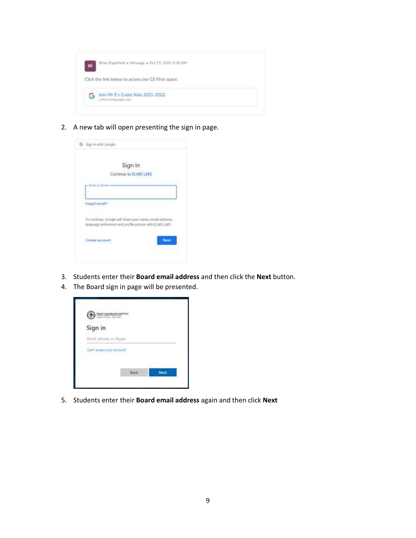

2. A new tab will open presenting the sign in page.

|                       | Sign in              |                                                                                                                    |
|-----------------------|----------------------|--------------------------------------------------------------------------------------------------------------------|
|                       | Continue to ELMS LMS |                                                                                                                    |
| <b>Email or phone</b> |                      |                                                                                                                    |
|                       |                      |                                                                                                                    |
| Forgot email?         |                      |                                                                                                                    |
|                       |                      |                                                                                                                    |
|                       |                      | To continue, Google will share your name, email address,<br>language preference and profile picture with ELMS LMS. |
|                       |                      |                                                                                                                    |
| Create account        |                      | Neum                                                                                                               |

- 3. Students enter their **Board email address** and then click the **Next** button.
- 4. The Board sign in page will be presented.



5. Students enter their **Board email address** again and then click **Next**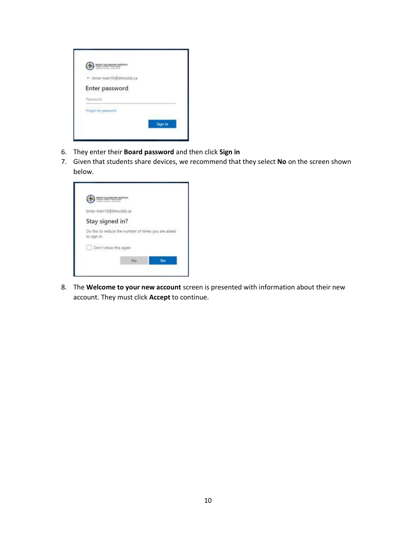| + bmar-train16@bhncdxb.ca                            |  |
|------------------------------------------------------|--|
| Enter password                                       |  |
| Patrtword                                            |  |
| <b>Service House Construct</b><br>Forgot my password |  |

- 6. They enter their **Board password** and then click **Sign in**
- 7. Given that students share devices, we recommend that they select **No** on the screen shown below.

| bmar-train16@bhnodsb.ca                                            |     |     |
|--------------------------------------------------------------------|-----|-----|
| Stay signed in?                                                    |     |     |
| Do this to reduce the number of times you are asked<br>to sign in. |     |     |
| Don't show this again                                              |     |     |
|                                                                    | No: | Ves |

8. The **Welcome to your new account** screen is presented with information about their new account. They must click **Accept** to continue.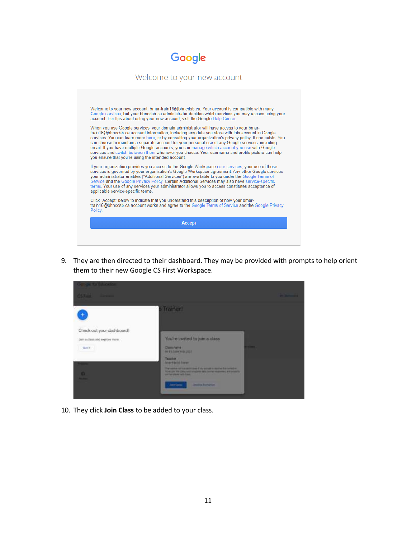

# Welcome to your new account Welcome to your new account: bmar-train16@bhncdsb.ca. Your account is compatible with many<br>Google services, but your bhncdsb.ca administrator decides which services you may access using your account. For tips about using your new account, visit the Google Help Center When you use Google services, your domain administrator will have access to your bmartrain16@bhncdsb.ca account information, including any data you store with this account in Google services. You can learn more here, or by consulting your organization's privacy policy, if one exists. You can choose to maintain a separate account for your personal use of any Google services, including<br>email. If you have multiple Google accounts, you can manage which account you use with Google<br>services and switch between th you ensure that you're using the intended account. If your organization provides you access to the Google Workspace core services, your use of those<br>services is governed by your organization's Google Workspace agreement. Any other Google services<br>your administrator enables terms. Your use of any services your administrator allows you to access constitutes acceptance of applicable service-specific terms. Click "Accept" below to indicate that you understand this description of how your bmar-<br>train16@bhncdsb.ca account works and agree to the Google Terms of Service and the Google Privacy<br>Policy. **Accept**

9. They are then directed to their dashboard. They may be provided with prompts to help orient them to their new Google CS First Workspace.

| <b>City of the Education</b><br><b>CSTILL</b><br><b>STATISTICS</b>                            |                                                                                                                                                                                                                                                                                                                                                                    | <b>BACKMONT</b> |
|-----------------------------------------------------------------------------------------------|--------------------------------------------------------------------------------------------------------------------------------------------------------------------------------------------------------------------------------------------------------------------------------------------------------------------------------------------------------------------|-----------------|
| Check out your dashboard!<br>Join a class and explore more.<br>Gall II<br>--<br><b>D</b><br>- | <b>Trainer!</b><br>You're invited to join a class<br><b>THEFT</b><br>Class none<br><b><i>BITTEDIAN HALTER</i></b><br>Teacher<br><b>Marketild Turns</b><br>The hands are as and it ago if you write to make it the complex<br>IT IN LEFT THE COAL VALUATION FOR SHIPS SURFACE AT & \$1000.<br>and he interest with free.<br>Am Cores<br><b>Chesting Institution</b> |                 |

10. They click **Join Class** to be added to your class.